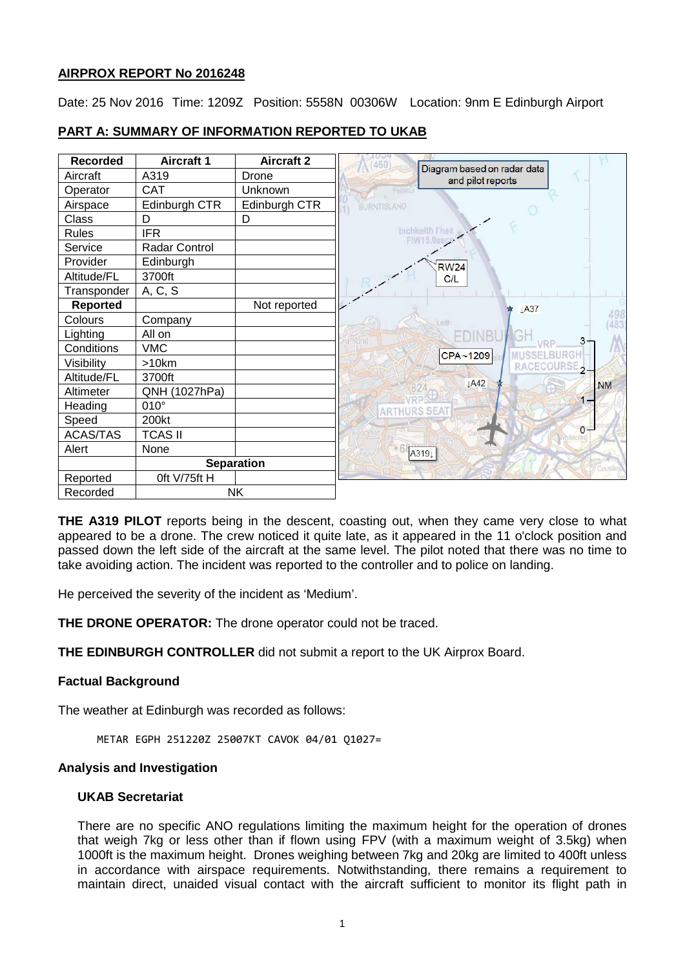## **AIRPROX REPORT No 2016248**

Date: 25 Nov 2016 Time: 1209Z Position: 5558N 00306W Location: 9nm E Edinburgh Airport

| <b>Recorded</b> | <b>Aircraft 1</b> | <b>Aircraft 2</b> | 460                                              |  |
|-----------------|-------------------|-------------------|--------------------------------------------------|--|
| Aircraft        | A319              | Drone             | Diagram based on radar data<br>and pilot reports |  |
| Operator        | CAT               | Unknown           |                                                  |  |
| Airspace        | Edinburgh CTR     | Edinburgh CTR     | <b>BURNTISLAND</b>                               |  |
| Class           | D                 | D                 |                                                  |  |
| <b>Rules</b>    | <b>IFR</b>        |                   | Inchkeith l'hse<br><b>FIW15.0s</b>               |  |
| Service         | Radar Control     |                   |                                                  |  |
| Provider        | Edinburgh         |                   | <b>RW24</b>                                      |  |
| Altitude/FL     | 3700ft            |                   | C/L                                              |  |
| Transponder     | A, C, S           |                   |                                                  |  |
| <b>Reported</b> |                   | Not reported      | <b>★ ↓A37</b>                                    |  |
| Colours         | Company           |                   | Leith                                            |  |
| Lighting        | All on            |                   | lЭ                                               |  |
| Conditions      | <b>VMC</b>        |                   | CPA~1209                                         |  |
| Visibility      | >10km             |                   | RACECOURSE.                                      |  |
| Altitude/FL     | 3700ft            |                   | LA42                                             |  |
| Altimeter       | QNH (1027hPa)     |                   | <b>NM</b>                                        |  |
| Heading         | $010^\circ$       |                   |                                                  |  |
| Speed           | 200kt             |                   |                                                  |  |
| ACAS/TAS        | <b>TCAS II</b>    |                   | $0 -$                                            |  |
| Alert           | None              |                   | A3191                                            |  |
|                 | <b>Separation</b> |                   |                                                  |  |
| Reported        | Oft V/75ft H      |                   |                                                  |  |
| Recorded        | <b>NK</b>         |                   |                                                  |  |

## **PART A: SUMMARY OF INFORMATION REPORTED TO UKAB**

**THE A319 PILOT** reports being in the descent, coasting out, when they came very close to what appeared to be a drone. The crew noticed it quite late, as it appeared in the 11 o'clock position and passed down the left side of the aircraft at the same level. The pilot noted that there was no time to take avoiding action. The incident was reported to the controller and to police on landing.

He perceived the severity of the incident as 'Medium'.

**THE DRONE OPERATOR:** The drone operator could not be traced.

**THE EDINBURGH CONTROLLER** did not submit a report to the UK Airprox Board.

## **Factual Background**

The weather at Edinburgh was recorded as follows:

METAR EGPH 251220Z 25007KT CAVOK 04/01 Q1027=

#### **Analysis and Investigation**

#### **UKAB Secretariat**

There are no specific ANO regulations limiting the maximum height for the operation of drones that weigh 7kg or less other than if flown using FPV (with a maximum weight of 3.5kg) when 1000ft is the maximum height. Drones weighing between 7kg and 20kg are limited to 400ft unless in accordance with airspace requirements. Notwithstanding, there remains a requirement to maintain direct, unaided visual contact with the aircraft sufficient to monitor its flight path in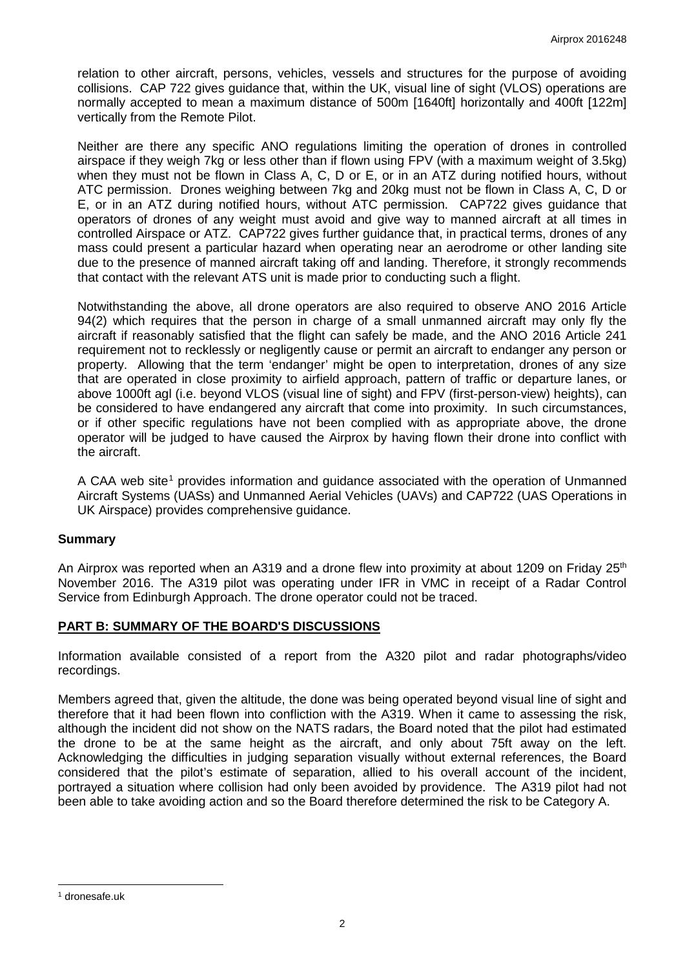relation to other aircraft, persons, vehicles, vessels and structures for the purpose of avoiding collisions. CAP 722 gives guidance that, within the UK, visual line of sight (VLOS) operations are normally accepted to mean a maximum distance of 500m [1640ft] horizontally and 400ft [122m] vertically from the Remote Pilot.

Neither are there any specific ANO regulations limiting the operation of drones in controlled airspace if they weigh 7kg or less other than if flown using FPV (with a maximum weight of 3.5kg) when they must not be flown in Class A, C, D or E, or in an ATZ during notified hours, without ATC permission. Drones weighing between 7kg and 20kg must not be flown in Class A, C, D or E, or in an ATZ during notified hours, without ATC permission. CAP722 gives guidance that operators of drones of any weight must avoid and give way to manned aircraft at all times in controlled Airspace or ATZ. CAP722 gives further guidance that, in practical terms, drones of any mass could present a particular hazard when operating near an aerodrome or other landing site due to the presence of manned aircraft taking off and landing. Therefore, it strongly recommends that contact with the relevant ATS unit is made prior to conducting such a flight.

Notwithstanding the above, all drone operators are also required to observe ANO 2016 Article 94(2) which requires that the person in charge of a small unmanned aircraft may only fly the aircraft if reasonably satisfied that the flight can safely be made, and the ANO 2016 Article 241 requirement not to recklessly or negligently cause or permit an aircraft to endanger any person or property. Allowing that the term 'endanger' might be open to interpretation, drones of any size that are operated in close proximity to airfield approach, pattern of traffic or departure lanes, or above 1000ft agl (i.e. beyond VLOS (visual line of sight) and FPV (first-person-view) heights), can be considered to have endangered any aircraft that come into proximity. In such circumstances, or if other specific regulations have not been complied with as appropriate above, the drone operator will be judged to have caused the Airprox by having flown their drone into conflict with the aircraft.

A CAA web site<sup>[1](#page-1-0)</sup> provides information and quidance associated with the operation of Unmanned Aircraft Systems (UASs) and Unmanned Aerial Vehicles (UAVs) and CAP722 (UAS Operations in UK Airspace) provides comprehensive guidance.

## **Summary**

An Airprox was reported when an A319 and a drone flew into proximity at about 1209 on Friday 25<sup>th</sup> November 2016. The A319 pilot was operating under IFR in VMC in receipt of a Radar Control Service from Edinburgh Approach. The drone operator could not be traced.

## **PART B: SUMMARY OF THE BOARD'S DISCUSSIONS**

Information available consisted of a report from the A320 pilot and radar photographs/video recordings.

Members agreed that, given the altitude, the done was being operated beyond visual line of sight and therefore that it had been flown into confliction with the A319. When it came to assessing the risk, although the incident did not show on the NATS radars, the Board noted that the pilot had estimated the drone to be at the same height as the aircraft, and only about 75ft away on the left. Acknowledging the difficulties in judging separation visually without external references, the Board considered that the pilot's estimate of separation, allied to his overall account of the incident, portrayed a situation where collision had only been avoided by providence. The A319 pilot had not been able to take avoiding action and so the Board therefore determined the risk to be Category A.

 $\overline{\phantom{a}}$ 

<span id="page-1-0"></span><sup>1</sup> dronesafe.uk